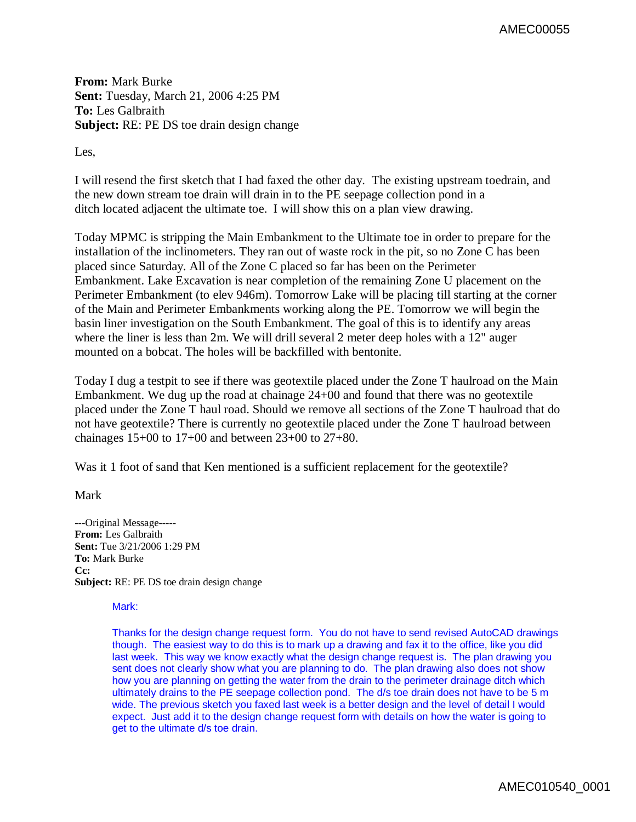AMEC00055

**From:** Mark Burke **Sent:** Tuesday, March 21, 2006 4:25 PM **To:** Les Galbraith **Subject:** RE: PE DS toe drain design change

Les,

I will resend the first sketch that I had faxed the other day. The existing upstream toedrain, and the new down stream toe drain will drain in to the PE seepage collection pond in a ditch located adjacent the ultimate toe. I will show this on a plan view drawing.

Today MPMC is stripping the Main Embankment to the Ultimate toe in order to prepare for the installation of the inclinometers. They ran out of waste rock in the pit, so no Zone C has been placed since Saturday. All of the Zone C placed so far has been on the Perimeter Embankment. Lake Excavation is near completion of the remaining Zone U placement on the Perimeter Embankment (to elev 946m). Tomorrow Lake will be placing till starting at the corner of the Main and Perimeter Embankments working along the PE. Tomorrow we will begin the basin liner investigation on the South Embankment. The goal of this is to identify any areas where the liner is less than 2m. We will drill several 2 meter deep holes with a 12" auger mounted on a bobcat. The holes will be backfilled with bentonite.

Today I dug a testpit to see if there was geotextile placed under the Zone T haulroad on the Main Embankment. We dug up the road at chainage 24+00 and found that there was no geotextile placed under the Zone T haul road. Should we remove all sections of the Zone T haulroad that do not have geotextile? There is currently no geotextile placed under the Zone T haulroad between chainages 15+00 to 17+00 and between 23+00 to 27+80.

Was it 1 foot of sand that Ken mentioned is a sufficient replacement for the geotextile?

Mark

---Original Message----- **From:** Les Galbraith **Sent:** Tue 3/21/2006 1:29 PM **To:** Mark Burke **Cc: Subject:** RE: PE DS toe drain design change

## Mark:

Thanks for the design change request form. You do not have to send revised AutoCAD drawings though. The easiest way to do this is to mark up a drawing and fax it to the office, like you did last week. This way we know exactly what the design change request is. The plan drawing you sent does not clearly show what you are planning to do. The plan drawing also does not show how you are planning on getting the water from the drain to the perimeter drainage ditch which ultimately drains to the PE seepage collection pond. The d/s toe drain does not have to be 5 m wide. The previous sketch you faxed last week is a better design and the level of detail I would expect. Just add it to the design change request form with details on how the water is going to get to the ultimate d/s toe drain.